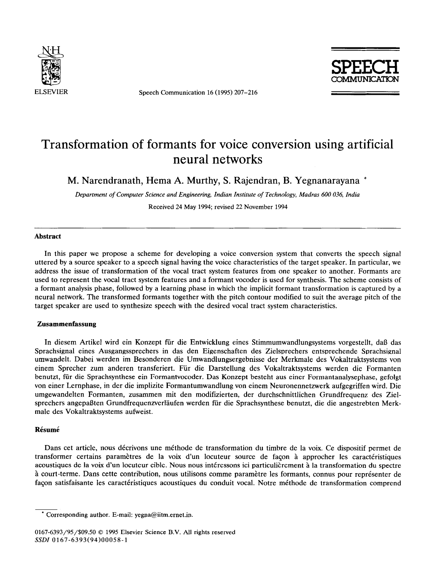

Speech Communication 16 (1995) 207-216



# Transformation of formants for voice conversion using artificial neural networks

M. Narendranath, Hema A. Murthy, S. Rajendran, B. Yegnanarayana \*

*Department of Computer Science and Engineering, Indian Institute of Technology, Madras 600 036, India*  Received 24 May 1994; revised 22 November 1994

## **Abstract**

In this paper we propose a scheme for developing a voice conversion system that converts the speech signal uttered by a source speaker to a speech signal having the voice characteristics of the target speaker. In particular, we address the issue of transformation of the vocal tract system features from one speaker to another. Formants are used to represent the vocal tract system features and a formant vocoder is used for synthesis. The scheme consists of a formant analysis phase, followed by a learning phase in which the implicit formant transformation is captured by a neural network. The transformed formants together with the pitch contour modified to suit the average pitch of the target speaker are used to synthesize speech with the desired vocal tract system characteristics.

## **Zusammenfassung**

In diesem Artikel wird ein Konzept fiir die Entwicklung eines Stimmumwandlungsystems vorgestellt, daR das Sprachsignal eines Ausgangssprechers in das den Eigenschaften des Zielsprechers entsprechende Sprachsignal umwandelt. Dabei werden im Besonderen die Umwandlungsergebnisse der Merkmale des Vokaltraktsystems von einem Sprecher zum anderen transferiert. Fur die Darstellung des Vokaltraktsystems werden die Formanten benutzt, ftir die Sprachsynthese ein Formantvocoder. Das Konzept besteht aus einer Formantanalysephase, gefolgt von einer Lernphase, in der die implizite Formantumwandlung von einem Neuronennetzwerk aufgegriffen wird. Die umgewandelten Formanten, zusammen mit den modifizierten, der durchschnittlichen Grundfrequenz des Zielsprechers angepaDten Grundfrequenzverlaufen werden fiir die Sprachsynthese benutzt, die die angestrebten Merkmale des Vokaltraktsystems aufweist.

## **R&urn&**

Dans cet article, nous décrivons une méthode de transformation du timbre de la voix. Ce dispositif permet de transformer certains paramètres de la voix d'un locuteur source de façon à approcher les caractéristiques acoustiques de la voix d'un locuteur cible. Nous nous intéressons ici particulièrement à la transformation du spectre à court-terme. Dans cette contribution, nous utilisons comme paramètre les formants, connus pour représenter de façon satisfaisante les caractéristiques acoustiques du conduit vocal. Notre méthode de transformation comprend

Corresponding author. E-mail:  $yegna@iitm.ernet.in.$ 

<sup>0167-6393/95/\$09.50 0 1995</sup> Elsevier Science B.V. All rights **reserved**  *SSDI* 0167-6393(94)00058-l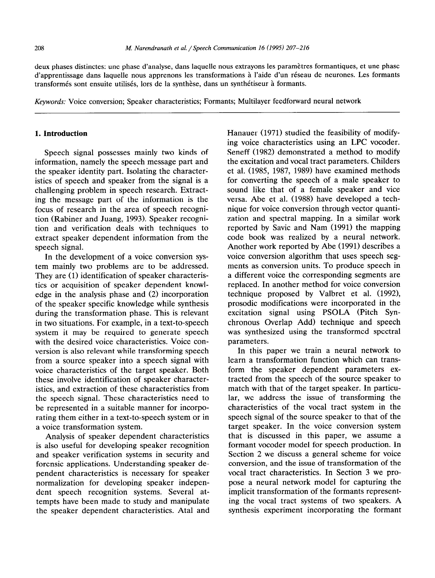deux phases distinctes: une phase d'analyse, dans laquelle nous extrayons les paramètres formantiques, et une phase d'apprentissage dans laquelle nous apprenons les transformations à l'aide d'un réseau de neurones. Les formants transformés sont ensuite utilisés, lors de la synthèse, dans un synthétiseur à formants.

Keywords: Voice conversion; Speaker characteristics; Formants; Multilayer feedforward neural network

## **1. Introduction**

Speech signal possesses mainly two kinds of information, namely the speech message part and the speaker identity part. Isolating the characteristics of speech and speaker from the signal is a challenging problem in speech research. Extracting the message part of the information is the focus of research in the area of speech recognition (Rabiner and Juang, 1993). Speaker recognition and verification deals with techniques to extract speaker dependent information from the speech signal.

In the development of a voice conversion system mainly two problems are to be addressed. They are (1) identification of speaker characteristics or acquisition of speaker dependent knowledge in the analysis phase and (2) incorporation of the speaker specific knowledge while synthesis during the transformation phase. This is relevant in two situations. For example, in a text-to-speech system it may be required to generate speech with the desired voice characteristics. Voice conversion is also relevant while transforming speech from a source speaker into a speech signal with voice characteristics of the target speaker. Both these involve identification of speaker characteristics, and extraction of these characteristics from the speech signal. These characteristics need to be represented in a suitable manner for incorporating them either in a text-to-speech system or in a voice transformation system.

Analysis of speaker dependent characteristics is also useful for developing speaker recognition and speaker verification systems in security and forensic applications. Understanding speaker dependent characteristics is necessary for speaker normalization for developing speaker independent speech recognition systems. Several attempts have been made to study and manipulate the speaker dependent characteristics. Atal and Hanauer (1971) studied the feasibility of modifying voice characteristics using an LPC vocoder. Seneff (1982) demonstrated a method to modify the excitation and vocal tract parameters. Childers et al. (1985, 1987, 1989) have examined methods for converting the speech of a male speaker to sound like that of a female speaker and vice versa. Abe et al. (1988) have developed a technique for voice conversion through vector quantization and spectral mapping. In a similar work reported by Savic and Nam (1991) the mapping code book was realized by a neural network. Another work reported by Abe (1991) describes a voice conversion algorithm that uses speech segments as conversion units. To produce speech in a different voice the corresponding segments are replaced. In another method for voice conversion technique proposed by Valbret et al. (1992), prosodic modifications were incorporated in the excitation signal using PSOLA (Pitch Synchronous Overlap Add) technique and speech was synthesized using the transformed spectral parameters.

In this paper we train a neural network to learn a transformation function which can transform the speaker dependent parameters extracted from the speech of the source speaker to match with that of the target speaker. In particular, we address the issue of transforming the characteristics of the vocal tract system in the speech signal of the source speaker to that of the target speaker. In the voice conversion system that is discussed in this paper, we assume a formant vocoder model for speech production. In Section 2 we discuss a general scheme for voice conversion, and the issue of transformation of the vocal tract characteristics. In Section 3 we propose a neural network model for capturing the implicit transformation of the formants representing the vocal tract systems of two speakers. A synthesis experiment incorporating the formant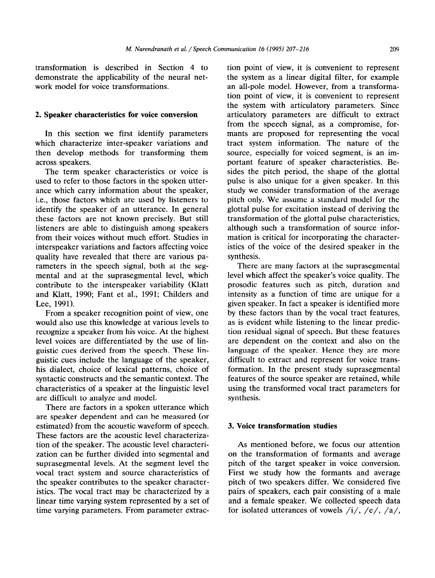transformation is described in Section 4 to demonstrate the applicability of the neural network model for voice transformations.

### 2. **Speaker characteristics for voice conversion**

In this section we first identify parameters which characterize inter-speaker variations and then develop methods for transforming them across speakers.

The term speaker characteristics or voice is used to refer to those factors in the spoken utterance which carry information about the speaker, i.e., those factors which are used by listeners to identify the speaker of an utterance. In general these factors are not known precisely. But still listeners are able to distinguish among speakers from their voices without much effort. Studies in interspeaker variations and factors affecting voice quality have revealed that there are various parameters in the speech signal, both at the segmental and at the suprasegmental level, which contribute to the interspeaker variability (Klatt and Klatt, 1990; Fant et al., 1991; Childers and Lee, 1991).

From a speaker recognition point of view, one would also use this knowledge at various levels to recognize a speaker from his voice. At the highest level voices are differentiated by the use of linguistic cues derived from the speech. These linguistic cues include the language of the speaker, his dialect, choice of lexical patterns, choice of syntactic constructs and the semantic context. The characteristics of a speaker at the linguistic level are difficult to analyze and model.

There are factors in a spoken utterance which are speaker dependent and can be measured (or estimated) from the acoustic waveform of speech. These factors are the acoustic level characterization of the speaker. The acoustic level characterization can be further divided into segmental and suprasegmental levels. At the segment level the vocal tract system and source characteristics of the speaker contributes to the speaker characteristics. The vocal tract may be characterized by a linear time varying system represented by a set of time varying parameters. From parameter extraction point of view, it is convenient to represent the system as a linear digital filter, for example an all-pole model. However, from a transformation point of view, it is convenient to represent the system with articulatory parameters. Since articulatory parameters are difficult to extract from the speech signal, as a compromise, formants are proposed for representing the vocal tract system information. The nature of the source, especially for voiced segment, is an important feature of speaker characteristics. Besides the pitch period, the shape of the glottal pulse is also unique for a given speaker. In this study we consider transformation of the average pitch only. We assume a standard model for the glottal pulse for excitation instead of deriving the transformation of the glottal pulse characteristics, although such a transformation of source information is critical for incorporating the characteristics of the voice of the desired speaker in the synthesis.

There are many factors at the suprasegmental level which affect the speaker's voice quality. The prosodic features such as pitch, duration and intensity as a function of time are unique for a given speaker. In fact a speaker is identified more by these factors than by the vocal tract features, as is evident while listening to the linear prediction residual signal of speech. But these features are dependent on the context and also on the language of the speaker. Hence they are more difficult to extract and represent for voice transformation. In the present study suprasegmental features of the source speaker are retained, while using the transformed vocal tract parameters for synthesis.

### 3. **Voice transformation studies**

As mentioned before, we focus our attention on the transformation of formants and average pitch of the target speaker in voice conversion. First we study how the formants and average pitch of two speakers differ. We considered five pairs of speakers, each pair consisting of a male and a female speaker. We collected speech data for isolated utterances of vowels  $/i/$ ,  $/e/$ ,  $/a/$ ,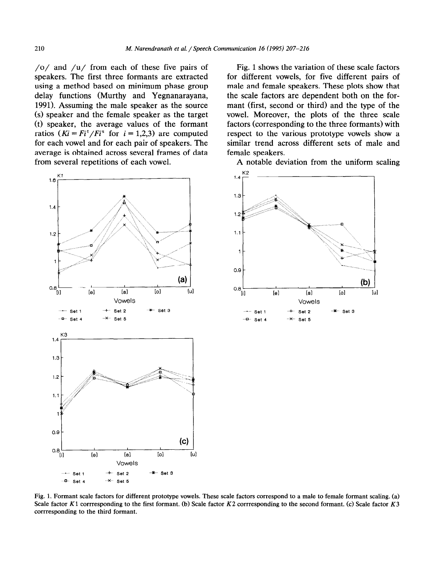$\sqrt{\frac{0}{x}}$  and  $\sqrt{\frac{u}{x}}$  from each of these five pairs of speakers. The first three formants are extracted using a method based on minimum phase group delay functions (Murthy and Yegnanarayana, 1991). Assuming the male speaker as the source 6) speaker and the female speaker as the target (t) speaker, the average values of the formant ratios  $(Ki = Fi^t/Fi^s$  for  $i = 1,2,3$  are computed for each vowel and for each pair of speakers. The average is obtained across several frames of data from several repetitions of each vowel.



Fig. 1 shows the variation of these scale factors for different vowels, for five different pairs of male and female speakers. These plots show that the scale factors are dependent both on the formant (first, second or third) and the type of the vowel. Moreover, the plots of the three scale factors (corresponding to the three formants) with respect to the various prototype vowels show a similar trend across different sets of male and female speakers.

A notable deviation from the uniform scaling



Fig. 1. Formant scale factors for different prototype vowels. These scale factors correspond to a male to female formant scaling. (a) Scale factor K1 corrresponding to the first formant. (b) Scale factor K2 corrresponding to the second formant. (c) Scale factor K3 corrresponding to the third forrnant.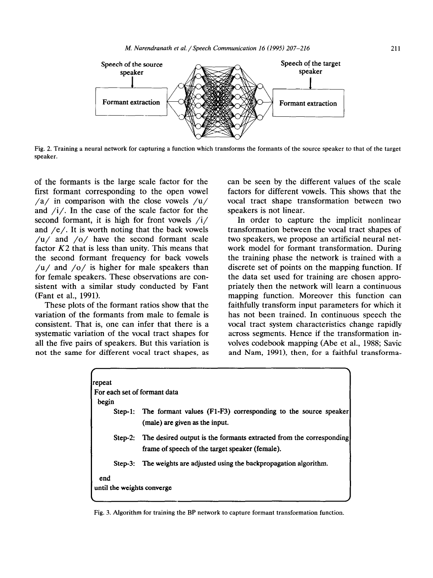

Fig. 2. Training a neural network for capturing a function which transforms the formants of the source speaker to that of the target speaker.

of the formants is the large scale factor for the first formant corresponding to the open vowel  $/a$  in comparison with the close vowels  $/u$ and /i/. In the case of the scale factor for the second formant, it is high for front vowels /i/ and  $/e$ . It is worth noting that the back vowels /u/ and /o/ have the second formant scale factor  $K2$  that is less than unity. This means that the second formant frequency for back vowels  $/u /$  and  $/v /$  is higher for male speakers than for female speakers. These observations are consistent with a similar study conducted by Fant (Fant et al., 1991).

These plots of the formant ratios show that the variation of the formants from male to female is consistent. That is, one can infer that there is a systematic variation of the vocal tract shapes for all the five pairs of speakers. But this variation is not the same for different vocal tract shapes, as can be seen by the different values of the scale factors for different vowels. This shows that the vocal tract shape transformation between two speakers is not linear.

In order to capture the implicit nonlinear transformation between the vocal tract shapes of two speakers, we propose an artificial neural network model for formant transformation. During the training phase the network is trained with a discrete set of points on the mapping function. If the data set used for training are chosen appropriately then the network will learn a continuous mapping function. Moreover this function can faithfully transform input parameters for which it has not been trained. In continuous speech the vocal tract system characteristics change rapidly across segments. Hence if the transformation involves codebook mapping (Abe et al., 1988; Savic and Nam, 1991), then, for a faithful transforma-

| repeat                            |                                                                                                                        |
|-----------------------------------|------------------------------------------------------------------------------------------------------------------------|
| For each set of formant data      |                                                                                                                        |
| begin                             |                                                                                                                        |
| $Step-1$ :                        | The formant values (F1-F3) corresponding to the source speaker<br>(male) are given as the input.                       |
| $Step-2$ :                        | The desired output is the formants extracted from the corresponding<br>frame of speech of the target speaker (female). |
| $Step-3:$                         | The weights are adjusted using the backpropagation algorithm.                                                          |
| end<br>until the weights converge |                                                                                                                        |

Fig. 3. Algorithm for training the BP network to capture formant transformation function.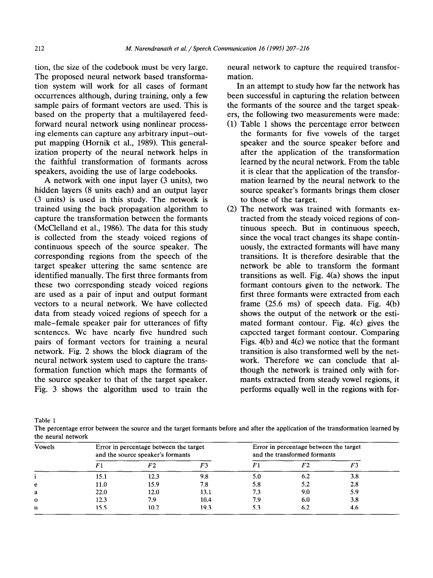tion, the size of the codebook must be very large. The proposed neural network based transformation system will work for all cases of formant occurrences although, during training, only a few sample pairs of formant vectors are used. This is based on the property that a multilayered feedforward neural network using nonlinear processing elements can capture any arbitrary input-output mapping (Hornik et al., 1989). This generalization property of the neural network helps in the faithful transformation of formants across speakers, avoiding the use of large codebooks.

A network with one input layer (3 units), two hidden layers (8 units each) and an output layer (3 units) is used in this study. The network is trained using the back propagation algorithm to capture the transformation between the formants (McClelland et al., 1986). The data for this study is collected from the steady voiced regions of continuous speech of the source speaker. The corresponding regions from the speech of the target speaker uttering the same sentence are identified manually. The first three formants from these two corresponding steady voiced regions are used as a pair of input and output formant vectors to a neural network. We have collected data from steady voiced regions of speech for a male-female speaker pair for utterances of fifty sentences. We have nearly five hundred such pairs of formant vectors for training a neural network. Fig. 2 shows the block diagram of the neural network system used to capture the transformation function which maps the formants of the source speaker to that of the target speaker. Fig. 3 shows the algorithm used to train the

neural network to capture the required transformation.

In an attempt to study how far the network has been successful in capturing the relation between the formants of the source and the target speakers, the following two measurements were made:

- (1) Table 1 shows the percentage error between the formants for five vowels of the target speaker and the source speaker before and after the application of the transformation learned by the neural network. From the table it is clear that the application of the transformation learned by the neural network to the source speaker's formants brings them closer to those of the target.
- (2) The network was trained with formants extracted from the steady voiced regions of continuous speech. But in continuous speech, since the vocal tract changes its shape continuously, the extracted formants will have many transitions. It is therefore desirable that the network be able to transform the formant transitions as well. Fig. 4(a) shows the input formant contours given to the network. The first three formants were extracted from each frame (25.6 ms) of speech data. Fig. 4(b) shows the output of the network or the estimated formant contour. Fig. 4(c) gives the expected target formant contour. Comparing Figs. 4(b) and 4(c) we notice that the formant transition is also transformed well by the network. Therefore we can conclude that although the network is trained only with formants extracted from steady vowel regions, it performs equally well in the regions with for-

Table 1

The percentage error between the source and the target formants before and after the application of the transformation learned by the neural network

| <b>Vowels</b> | Error in percentage between the target<br>and the source speaker's formants |      |      | Error in percentage between the target<br>and the transformed formants |     |     |  |
|---------------|-----------------------------------------------------------------------------|------|------|------------------------------------------------------------------------|-----|-----|--|
|               |                                                                             | F2   | F3   |                                                                        |     |     |  |
|               | 15.1                                                                        | 12.3 | 9.8  |                                                                        | 6.2 |     |  |
| e             | 11.0                                                                        | 15.9 | 7.8  | 5.8                                                                    |     | 2.8 |  |
| a             | 22.0                                                                        | 12.0 | 13.1 | 7.3                                                                    | 9.0 | 5.9 |  |
| 0             | 12.3                                                                        | 7.9  | 10.4 | 7.9                                                                    | 6.0 | 3.8 |  |
| u             | 15.5                                                                        | 10.2 | 19.3 |                                                                        |     | 4.6 |  |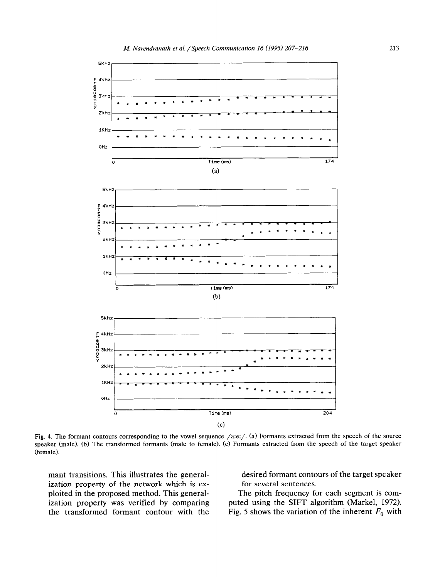

Fig. 4. The formant contours corresponding to the vowel sequence /a:e:/. (a) Formants extracted from the speech of the source speaker (male). (b) The transformed formants (male to female). Cc) Formants extracted from the speech of the target speaker (female).

ization property of the network which is ex-<br>for several sentences.

mant transitions. This illustrates the general- desired formant contours of the target speaker

ploited in the proposed method. This general- The pitch frequency for each segment is comization property was verified by comparing puted using the SIFT algorithm (Markel, 1972).<br>the transformed formant contour with the Fig. 5 shows the variation of the inherent  $F_0$  with Fig. 5 shows the variation of the inherent  $F_0$  with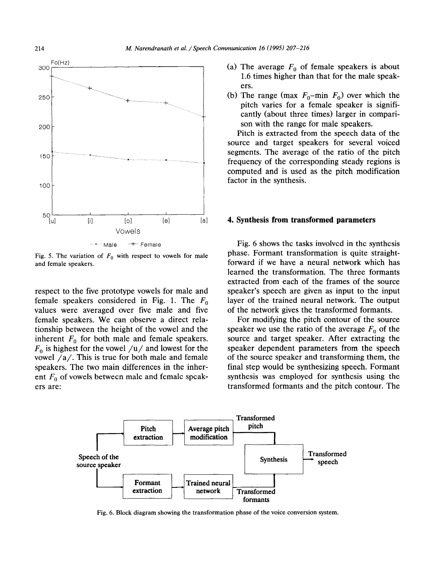

Fig. 5. The variation of  $F_0$  with respect to vowels for male and female speakers.

respect to the five prototype vowels for male and female speakers considered in Fig. 1. The  $F_0$ values were averaged over five male and five female speakers. We can observe a direct relationship between the height of the vowel and the inherent  $F_0$  for both male and female speakers.  $F_0$  is highest for the vowel /u/ and lowest for the vowel  $/a/$ . This is true for both male and female speakers. The two main differences in the inherent  $F_0$  of vowels between male and female speakers are:

- (a) The average  $F_0$  of female speakers is about 1.6 times higher than that for the male speakers.
- (b) The range (max  $F_0$ -min  $F_0$ ) over which the pitch varies for a female speaker is significantly (about three times) larger in comparison with the range for male speakers.

Pitch is extracted from the speech data of the source and target speakers for several voiced segments. The average of the ratio of the pitch frequency of the corresponding steady regions is computed and is used as the pitch modification factor in the synthesis.

#### 4. **Synthesis from transformed parameters**

Fig. 6 shows the tasks involved in the synthesis phase. Formant transformation is quite straightforward if we have a neural network which has learned the transformation. The three formants extracted from each of the frames of the source speaker's speech are given as input to the input layer of the trained neural network. The output of the network gives the transformed formants.

For modifying the pitch contour of the source speaker we use the ratio of the average  $F_0$  of the source and target speaker. After extracting the speaker dependent parameters from the speech of the source speaker and transforming them, the final step would be synthesizing speech. Formant synthesis was employed for synthesis using the transformed formants and the pitch contour. The



Fig. 6. Block diagram showing the transformation phase of the voice conversion system.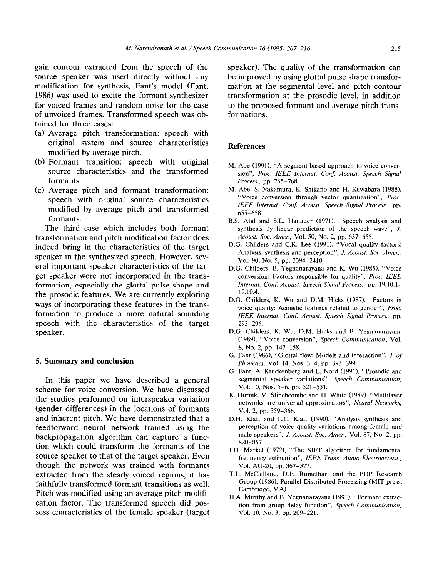gain contour extracted from the speech of the source speaker was used directly without any modification for synthesis. Fant's model (Fant, 1986) was used to excite the formant synthesizer for voiced frames and random noise for the case of unvoiced frames. Transformed speech was obtained for three cases:

- (a) Average pitch transformation: speech with original system and source characteristics modified by average pitch.
- (b) Formant transition: speech with original source characteristics and the transformed formants.
- Cc) Average pitch and formant transformation: speech with original source characteristics modified by average pitch and transformed formants.

The third case which includes both formant transformation and pitch modification factor does indeed bring in the characteristics of the target speaker in the synthesized speech. However, several important speaker characteristics of the target speaker were not incorporated in the transformation, especially the glottal pulse shape and the prosodic features. We are currently exploring ways of incorporating these features in the transformation to produce a more natural sounding speech with the characteristics of the target speaker.

### **5. Summary and conclusion**

In this paper we have described a general scheme for voice conversion. We have discussed the studies performed on interspeaker variation (gender differences) in the locations of formants and inherent pitch. We have demonstrated that a feedforward neural network trained using the backpropagation algorithm can capture a function which could transform the formants of the source speaker to that of the target speaker. Even though the network was trained with formants extracted from the steady voiced regions, it has faithfully transformed formant transitions as well. Pitch was modified using an average pitch modification factor. The transformed speech did possess characteristics of the female speaker (target speaker). The quality of the transformation can be improved by using glottal pulse shape transformation at the segmental level and pitch contour transformation at the prosodic level, in addition to the proposed formant and average pitch transformations.

## **References**

- M. Abe (1991), "A segment-based approach to voice conversion", Proc. IEEE Internat. Conf. Acoust. Speech Signal *Process.,* pp. 765-768.
- M. Abe, S. Nakamura, K. Shikano and H. Kuwabara (1988), "Voice conversion through vector quantization", *Proc. IEEE Internat. Conf: Acoust. Speech Signal Process.,* pp. 655-658.
- B.S. Atal and S.L. Hanauer (1971), "Speech analysis and synthesis by linear prediction of the speech wave", J. *Acoust. Sot. Amer.,* Vol. 50, No. 2, pp. 637-655.
- D.G. Childers and C.K. Lee (1991), "Vocal quality factors: Analysis, synthesis and perception", J. *Acoust. Sot. Amer.,*  Vol. 90, No. 5, pp. 2394-2410.
- D.G. Childers, B. Yegnanarayana and K. Wu (1985), "Voice conversion: Factors responsible for quality", *Proc. IEEE Internat. Conf. Acoust. Speech Signal Process.,* pp. 19.10.1- 19.10.4.
- D.G. Childers, K. Wu and D.M. Hicks (1987), "Factors in voice quality: Acoustic features related to gender", *Proc. IEEE Internat. Conf. Acoust. Speech Signal Process., pp.* 293-296.
- D.G. Childers, K. Wu, D.M. Hicks and B. Yegnanarayana (1989), "Voice conversion", Speech Communication, Vol. 8, No. 2, pp. 147-158.
- G. Fant (1986), "Glottal flow: Models and interaction", J. of *Phonetics,* Vol. 14, Nos. 3-4, pp. 393-399.
- G. Fant, A. Kruckenberg and L. Nord (1991), "Prosodic and segmental speaker variations", *Speech Communication,*  Vol. 10, Nos. 5-6, pp. 521-531.
- K. Hornik, M. Stinchcombe and H. White (1989), "Multilayer networks are universal approximators", Neural *Networks,*  Vol. 2, pp. 359-366.
- D.H. Klatt and L.C. Klatt (1990), "Analysis synthesis and perception of voice quality variations among female and male speakers", *J. Acoust. Soc. Amer.*, Vol. 87, No. 2, pp. 820-857.
- J.D. Markel (1972), "The SIFT algorithm for fundamental frequency estimation", *IEEE Trans. Audio Electroacoust.,*  Vol. AU-20, pp. 367-377.
- T.L. McClelland, D.E. Rumelhart and the PDP Research Group (1986), Parallel Distributed Processing (MIT press, Cambridge, MA).
- H.A. Murthy and B. Yegnanarayana (1991), "Formant extraction from group delay function", *Speech Communication,*  Vol. 10, No. 3, pp. 209-221.